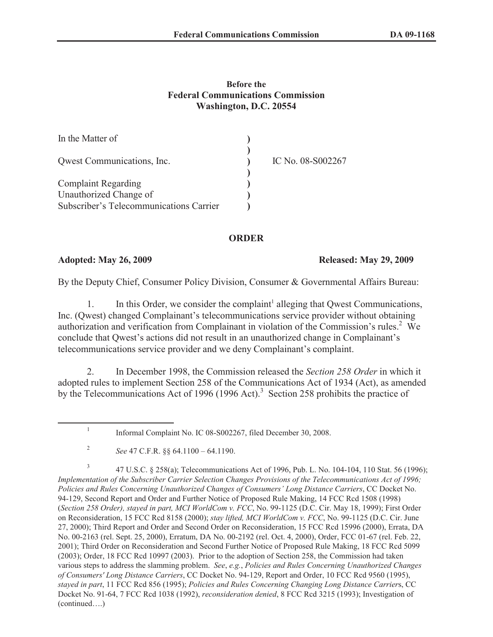## **Before the Federal Communications Commission Washington, D.C. 20554**

| In the Matter of                        |                   |
|-----------------------------------------|-------------------|
| Qwest Communications, Inc.              | IC No. 08-S002267 |
| <b>Complaint Regarding</b>              |                   |
| Unauthorized Change of                  |                   |
| Subscriber's Telecommunications Carrier |                   |

## **ORDER**

**Adopted: May 26, 2009 Released: May 29, 2009**

By the Deputy Chief, Consumer Policy Division, Consumer & Governmental Affairs Bureau:

1. In this Order, we consider the complaint<sup>1</sup> alleging that Qwest Communications, Inc. (Qwest) changed Complainant's telecommunications service provider without obtaining authorization and verification from Complainant in violation of the Commission's rules.<sup>2</sup> We conclude that Qwest's actions did not result in an unauthorized change in Complainant's telecommunications service provider and we deny Complainant's complaint.

2. In December 1998, the Commission released the *Section 258 Order* in which it adopted rules to implement Section 258 of the Communications Act of 1934 (Act), as amended by the Telecommunications Act of 1996 (1996 Act).<sup>3</sup> Section 258 prohibits the practice of

3 47 U.S.C. § 258(a); Telecommunications Act of 1996, Pub. L. No. 104-104, 110 Stat. 56 (1996); *Implementation of the Subscriber Carrier Selection Changes Provisions of the Telecommunications Act of 1996; Policies and Rules Concerning Unauthorized Changes of Consumers' Long Distance Carriers*, CC Docket No. 94-129, Second Report and Order and Further Notice of Proposed Rule Making, 14 FCC Rcd 1508 (1998) (*Section 258 Order), stayed in part, MCI WorldCom v. FCC*, No. 99-1125 (D.C. Cir. May 18, 1999); First Order on Reconsideration, 15 FCC Rcd 8158 (2000); *stay lifted, MCI WorldCom v. FCC*, No. 99-1125 (D.C. Cir. June 27, 2000); Third Report and Order and Second Order on Reconsideration, 15 FCC Rcd 15996 (2000), Errata, DA No. 00-2163 (rel. Sept. 25, 2000), Erratum, DA No. 00-2192 (rel. Oct. 4, 2000), Order, FCC 01-67 (rel. Feb. 22, 2001); Third Order on Reconsideration and Second Further Notice of Proposed Rule Making, 18 FCC Rcd 5099 (2003); Order, 18 FCC Rcd 10997 (2003). Prior to the adoption of Section 258, the Commission had taken various steps to address the slamming problem. *See*, *e.g.*, *Policies and Rules Concerning Unauthorized Changes of Consumers' Long Distance Carriers*, CC Docket No. 94-129, Report and Order, 10 FCC Rcd 9560 (1995), *stayed in part*, 11 FCC Rcd 856 (1995); *Policies and Rules Concerning Changing Long Distance Carrier*s, CC Docket No. 91-64, 7 FCC Rcd 1038 (1992), *reconsideration denied*, 8 FCC Rcd 3215 (1993); Investigation of (continued….)

<sup>1</sup> Informal Complaint No. IC 08-S002267, filed December 30, 2008.

<sup>2</sup> *See* 47 C.F.R. §§ 64.1100 – 64.1190.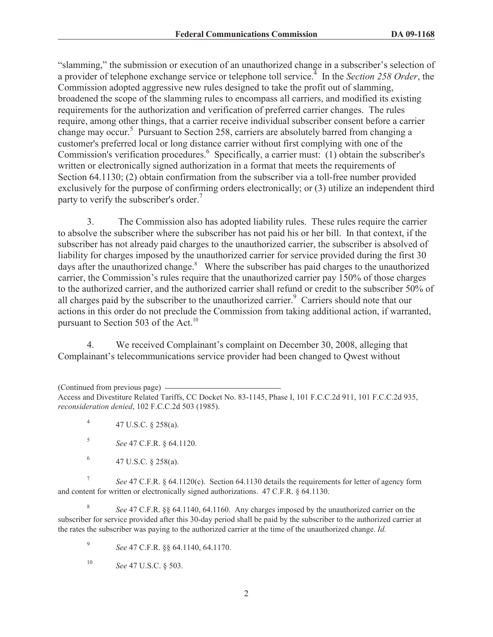"slamming," the submission or execution of an unauthorized change in a subscriber's selection of a provider of telephone exchange service or telephone toll service.<sup>4</sup> In the *Section 258 Order*, the Commission adopted aggressive new rules designed to take the profit out of slamming, broadened the scope of the slamming rules to encompass all carriers, and modified its existing requirements for the authorization and verification of preferred carrier changes. The rules require, among other things, that a carrier receive individual subscriber consent before a carrier change may occur.<sup>5</sup> Pursuant to Section 258, carriers are absolutely barred from changing a customer's preferred local or long distance carrier without first complying with one of the Commission's verification procedures.<sup>6</sup> Specifically, a carrier must: (1) obtain the subscriber's written or electronically signed authorization in a format that meets the requirements of Section 64.1130; (2) obtain confirmation from the subscriber via a toll-free number provided exclusively for the purpose of confirming orders electronically; or (3) utilize an independent third party to verify the subscriber's order.<sup>7</sup>

3. The Commission also has adopted liability rules. These rules require the carrier to absolve the subscriber where the subscriber has not paid his or her bill. In that context, if the subscriber has not already paid charges to the unauthorized carrier, the subscriber is absolved of liability for charges imposed by the unauthorized carrier for service provided during the first 30 days after the unauthorized change.<sup>8</sup> Where the subscriber has paid charges to the unauthorized carrier, the Commission's rules require that the unauthorized carrier pay 150% of those charges to the authorized carrier, and the authorized carrier shall refund or credit to the subscriber 50% of all charges paid by the subscriber to the unauthorized carrier.<sup>9</sup> Carriers should note that our actions in this order do not preclude the Commission from taking additional action, if warranted, pursuant to Section 503 of the Act.<sup>10</sup>

4. We received Complainant's complaint on December 30, 2008, alleging that Complainant's telecommunications service provider had been changed to Qwest without

- 4 47 U.S.C. § 258(a).
- 5 *See* 47 C.F.R. § 64.1120.
- 6 47 U.S.C. § 258(a).

7 *See* 47 C.F.R. § 64.1120(c). Section 64.1130 details the requirements for letter of agency form and content for written or electronically signed authorizations. 47 C.F.R. § 64.1130.

8 *See* 47 C.F.R. §§ 64.1140, 64.1160. Any charges imposed by the unauthorized carrier on the subscriber for service provided after this 30-day period shall be paid by the subscriber to the authorized carrier at the rates the subscriber was paying to the authorized carrier at the time of the unauthorized change. *Id.*

9 *See* 47 C.F.R. §§ 64.1140, 64.1170.

<sup>(</sup>Continued from previous page) Access and Divestiture Related Tariffs, CC Docket No. 83-1145, Phase I, 101 F.C.C.2d 911, 101 F.C.C.2d 935, *reconsideration denied*, 102 F.C.C.2d 503 (1985).

<sup>10</sup> *See* 47 U.S.C. § 503.